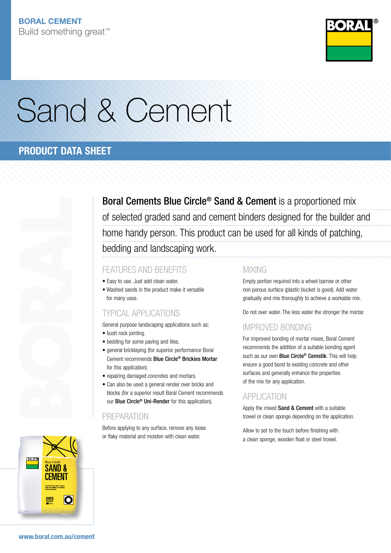

# Sand & Cement

# PRODUCT DATA SHEET



Boral Cements Blue Circle® Sand & Cement is a proportioned mix of selected graded sand and cement binders designed for the builder and home handy person. This product can be used for all kinds of patching, bedding and landscaping work.

### FEATURES AND BENEFITS

- Easy to use. Just add clean water.
- Washed sands in the product make it versatile for many uses.

### Typical Applications

General purpose landscaping applications such as:

- bush rock jointing.
- bedding for some paving and tiles.
- general bricklaying (for superior performance Boral Cement recommends Blue Circle® Brickies Mortar for this application).
- repairing damaged concretes and mortars.
- Can also be used a general render over bricks and blocks (for a superior result Boral Cement recommends our **Blue Circle<sup>®</sup> Uni-Render** for this application).

### **PRFPARATION**

Before applying to any surface, remove any loose or flaky material and moisten with clean water.

### **MIXING**

Empty portion required into a wheel barrow or other non porous surface (plastic bucket is good). Add water gradually and mix thoroughly to achieve a workable mix.

Do not over water. The less water the stronger the mortar.

### Improved Bonding

For improved bonding of mortar mixes, Boral Cement recommends the addition of a suitable bonding agent such as our own **Blue Circle<sup>®</sup> Cemstik**. This will help ensure a good bond to existing concrete and other surfaces and generally enhance the properties of the mix for any application.

### **APPLICATION**

Apply the mixed Sand & Cement with a suitable trowel or clean sponge depending on the application.

Allow to set to the touch before finishing with a clean sponge, wooden float or steel trowel.